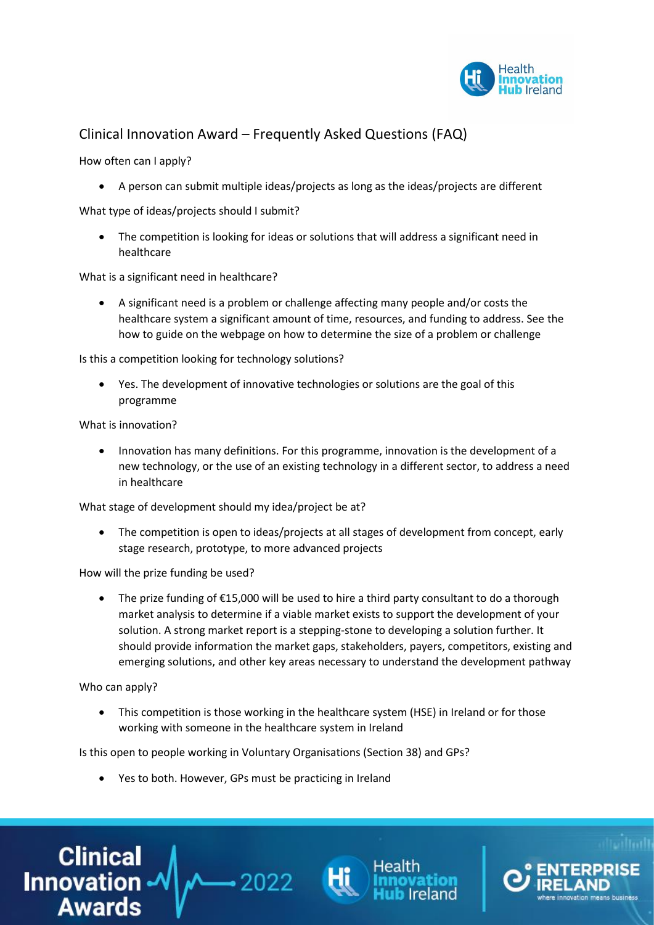

## Clinical Innovation Award – Frequently Asked Questions (FAQ)

How often can I apply?

A person can submit multiple ideas/projects as long as the ideas/projects are different

What type of ideas/projects should I submit?

 The competition is looking for ideas or solutions that will address a significant need in healthcare

What is a significant need in healthcare?

 A significant need is a problem or challenge affecting many people and/or costs the healthcare system a significant amount of time, resources, and funding to address. See the how to guide on the webpage on how to determine the size of a problem or challenge

Is this a competition looking for technology solutions?

 Yes. The development of innovative technologies or solutions are the goal of this programme

What is innovation?

• Innovation has many definitions. For this programme, innovation is the development of a new technology, or the use of an existing technology in a different sector, to address a need in healthcare

What stage of development should my idea/project be at?

 The competition is open to ideas/projects at all stages of development from concept, early stage research, prototype, to more advanced projects

How will the prize funding be used?

 The prize funding of €15,000 will be used to hire a third party consultant to do a thorough market analysis to determine if a viable market exists to support the development of your solution. A strong market report is a stepping-stone to developing a solution further. It should provide information the market gaps, stakeholders, payers, competitors, existing and emerging solutions, and other key areas necessary to understand the development pathway

Who can apply?

 This competition is those working in the healthcare system (HSE) in Ireland or for those working with someone in the healthcare system in Ireland

Is this open to people working in Voluntary Organisations (Section 38) and GPs?

Yes to both. However, GPs must be practicing in Ireland





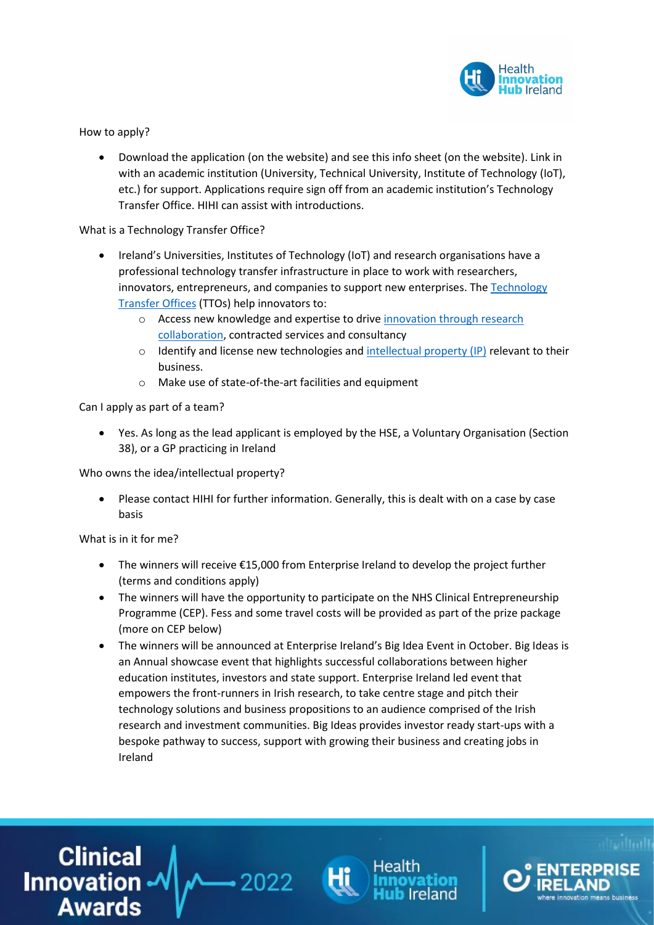

How to apply?

 Download the application (on the website) and see this info sheet (on the website). Link in with an academic institution (University, Technical University, Institute of Technology (IoT), etc.) for support. Applications require sign off from an academic institution's Technology Transfer Office. HIHI can assist with introductions.

What is a Technology Transfer Office?

- Ireland's Universities, Institutes of Technology (IoT) and research organisations have a professional technology transfer infrastructure in place to work with researchers, innovators, entrepreneurs, and companies to support new enterprises. Th[e Technology](https://www.knowledgetransferireland.com/Research_in_Ireland/Technology-Transfer-Offices/)  [Transfer Offices](https://www.knowledgetransferireland.com/Research_in_Ireland/Technology-Transfer-Offices/) (TTOs) help innovators to:
	- o Access new knowledge and expertise to drive [innovation through research](https://www.knowledgetransferireland.com/research_in_ireland/)  [collaboration,](https://www.knowledgetransferireland.com/research_in_ireland/) contracted services and consultancy
	- $\circ$  Identify and license new technologies and [intellectual property \(IP\)](https://www.knowledgetransferireland.com/managingIP/) relevant to their business.
	- o Make use of state-of-the-art facilities and equipment

Can I apply as part of a team?

 Yes. As long as the lead applicant is employed by the HSE, a Voluntary Organisation (Section 38), or a GP practicing in Ireland

Who owns the idea/intellectual property?

 Please contact HIHI for further information. Generally, this is dealt with on a case by case basis

What is in it for me?

- The winners will receive €15,000 from Enterprise Ireland to develop the project further (terms and conditions apply)
- The winners will have the opportunity to participate on the NHS Clinical Entrepreneurship Programme (CEP). Fess and some travel costs will be provided as part of the prize package (more on CEP below)
- The winners will be announced at Enterprise Ireland's Big Idea Event in October. Big Ideas is an Annual showcase event that highlights successful collaborations between higher education institutes, investors and state support. Enterprise Ireland led event that empowers the front-runners in Irish research, to take centre stage and pitch their technology solutions and business propositions to an audience comprised of the Irish research and investment communities. Big Ideas provides investor ready start-ups with a bespoke pathway to success, support with growing their business and creating jobs in Ireland

Buinical<br>|√- Innovation **Awards** 



 $-2022$